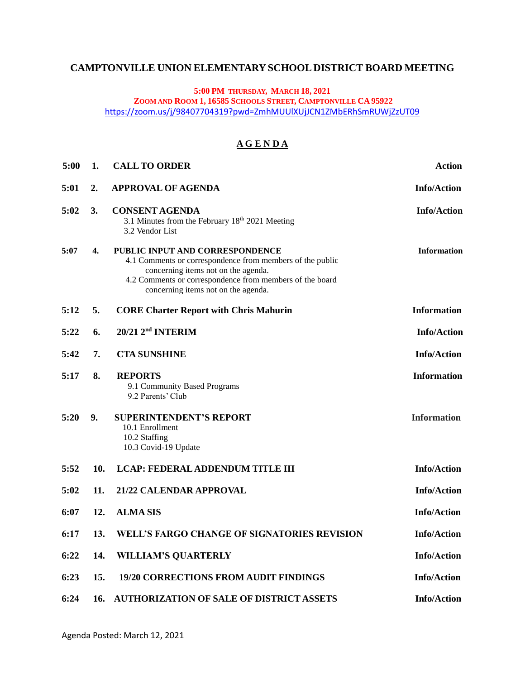# **CAMPTONVILLE UNION ELEMENTARY SCHOOL DISTRICT BOARD MEETING**

### **5:00 PM THURSDAY, MARCH 18, 2021**

**ZOOM AND ROOM 1, 16585 SCHOOLS STREET, CAMPTONVILLE CA 95922**

<https://zoom.us/j/98407704319?pwd=ZmhMUUlXUjJCN1ZMbERhSmRUWjZzUT09>

# **A G E N D A**

| 5:00 | 1.  | <b>CALL TO ORDER</b>                                                                                                                                                                                                                   | <b>Action</b>      |
|------|-----|----------------------------------------------------------------------------------------------------------------------------------------------------------------------------------------------------------------------------------------|--------------------|
| 5:01 | 2.  | <b>APPROVAL OF AGENDA</b>                                                                                                                                                                                                              | <b>Info/Action</b> |
| 5:02 | 3.  | <b>CONSENT AGENDA</b><br>3.1 Minutes from the February 18 <sup>th</sup> 2021 Meeting<br>3.2 Vendor List                                                                                                                                | <b>Info/Action</b> |
| 5:07 | 4.  | PUBLIC INPUT AND CORRESPONDENCE<br>4.1 Comments or correspondence from members of the public<br>concerning items not on the agenda.<br>4.2 Comments or correspondence from members of the board<br>concerning items not on the agenda. | <b>Information</b> |
| 5:12 | 5.  | <b>CORE Charter Report with Chris Mahurin</b>                                                                                                                                                                                          | <b>Information</b> |
| 5:22 | 6.  | 20/21 2 <sup>nd</sup> INTERIM                                                                                                                                                                                                          | <b>Info/Action</b> |
| 5:42 | 7.  | <b>CTA SUNSHINE</b>                                                                                                                                                                                                                    | <b>Info/Action</b> |
| 5:17 | 8.  | <b>REPORTS</b><br>9.1 Community Based Programs<br>9.2 Parents' Club                                                                                                                                                                    | <b>Information</b> |
| 5:20 | 9.  | <b>SUPERINTENDENT'S REPORT</b><br>10.1 Enrollment<br>10.2 Staffing<br>10.3 Covid-19 Update                                                                                                                                             | <b>Information</b> |
| 5:52 | 10. | <b>LCAP: FEDERAL ADDENDUM TITLE III</b>                                                                                                                                                                                                | <b>Info/Action</b> |
| 5:02 | 11. | 21/22 CALENDAR APPROVAL                                                                                                                                                                                                                | <b>Info/Action</b> |
| 6:07 | 12. | <b>ALMA SIS</b>                                                                                                                                                                                                                        | <b>Info/Action</b> |
| 6:17 | 13. | <b>WELL'S FARGO CHANGE OF SIGNATORIES REVISION</b>                                                                                                                                                                                     | <b>Info/Action</b> |
| 6:22 | 14. | <b>WILLIAM'S QUARTERLY</b>                                                                                                                                                                                                             | <b>Info/Action</b> |
| 6:23 | 15. | <b>19/20 CORRECTIONS FROM AUDIT FINDINGS</b>                                                                                                                                                                                           | <b>Info/Action</b> |
| 6:24 | 16. | <b>AUTHORIZATION OF SALE OF DISTRICT ASSETS</b>                                                                                                                                                                                        | <b>Info/Action</b> |